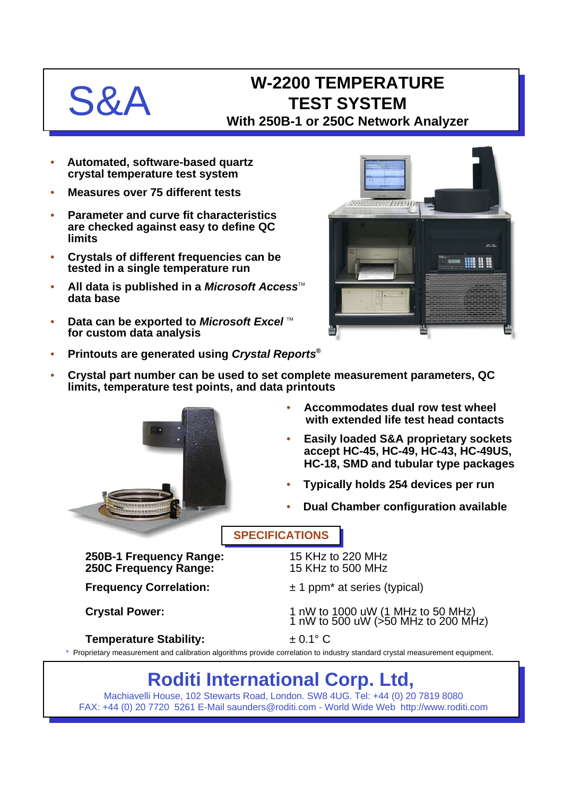## **S&A** W-2200 TEMPERATURE **TEST SYSTEM With 250B-1 or 250C Network Analyzer**

- **Automated, software-based quartz crystal temperature test system**
- **Measures over 75 different tests**
- **Parameter and curve fit characteristics are checked against easy to define QC limits**
- **Crystals of different frequencies can be tested in a single temperature run**
- All data is published in a *Microsoft Access*<sup>™</sup> **data base**
- Data can be exported to *Microsoft Excel* ™ **for custom data analysis**



- **Printouts are generated using** *Crystal Reports***®**
- **Crystal part number can be used to set complete measurement parameters, QC limits, temperature test points, and data printouts**



- **Accommodates dual row test wheel with extended life test head contacts**
- **Easily loaded S&A proprietary sockets accept HC-45, HC-49, HC-43, HC-49US, HC-18, SMD and tubular type packages**
- **Typically holds 254 devices per run**
- **Dual Chamber configuration available**

**SPECIFICATIONS**

**250B-1 Frequency Range:** 15 KHz to 220 MHz **250C Frequency Range:** 15 KHz to 500 MHz

### **Temperature Stability:**  $\qquad 20.1^{\circ} \text{ C}$

- **Frequency Correlation:**  $\pm 1$  ppm<sup>\*</sup> at series (typical)
- Crystal Power: 1 nW to 1000 uW (1 MHz to 50 MHz) 1 nW to 500 uW (>50 MHz to 200 MHz)

\* Proprietary measurement and calibration algorithms provide correlation to industry standard crystal measurement equipment.

# **Roditi International Corp. Ltd,**

Machiavelli House, 102 Stewarts Road, London. SW8 4UG. Tel: +44 (0) 20 7819 8080 FAX: +44 (0) 20 7720 5261 E-Mail saunders@roditi.com - World Wide Web http://www.roditi.com